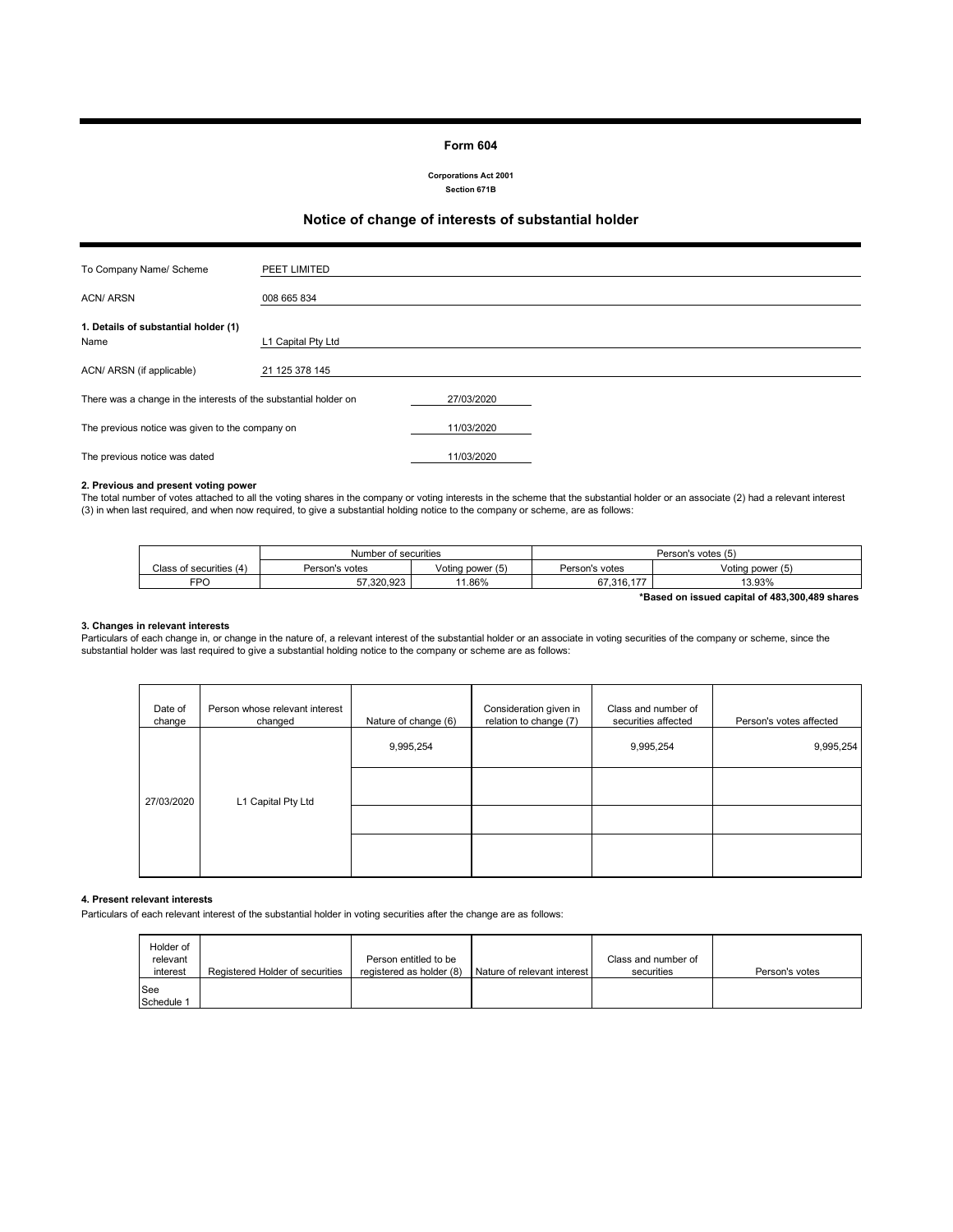### **Form 604**

**Corporations Act 2001 Section 671B**

### **Notice of change of interests of substantial holder**

| To Company Name/ Scheme                                          | PEET LIMITED       |            |  |
|------------------------------------------------------------------|--------------------|------------|--|
| <b>ACN/ ARSN</b>                                                 | 008 665 834        |            |  |
| 1. Details of substantial holder (1)<br>Name                     | L1 Capital Pty Ltd |            |  |
| ACN/ ARSN (if applicable)                                        | 21 125 378 145     |            |  |
| There was a change in the interests of the substantial holder on |                    | 27/03/2020 |  |
| The previous notice was given to the company on                  |                    | 11/03/2020 |  |
| The previous notice was dated                                    |                    | 11/03/2020 |  |

**2. Previous and present voting power** The total number of votes attached to all the voting shares in the company or voting interests in the scheme that the substantial holder or an associate (2) had a relevant interest (3) in when last required, and when now required, to give a substantial holding notice to the company or scheme, are as follows:

|                         | Number of securities |                  | Person's votes (5) |                  |
|-------------------------|----------------------|------------------|--------------------|------------------|
| Class of securities (4) | Person's votes       | Voting power (5) | Person's votes     | Voting power (5) |
| FPO                     | 57.320.923           | 1.86%            | 67.316.177         | 13.93%           |
|                         |                      |                  |                    |                  |

#### **\*Based on issued capital of 483,300,489 shares**

**3. Changes in relevant interests**<br>Particulars of each change in, or change in the nature of, a relevant interest of the substantial holder or an associate in voting securities of the company or scheme, since the<br>substanti

| Date of<br>change | Person whose relevant interest<br>changed | Nature of change (6) | Consideration given in<br>relation to change (7) | Class and number of<br>securities affected | Person's votes affected |
|-------------------|-------------------------------------------|----------------------|--------------------------------------------------|--------------------------------------------|-------------------------|
|                   |                                           | 9,995,254            |                                                  | 9,995,254                                  | 9,995,254               |
| 27/03/2020        | L1 Capital Pty Ltd                        |                      |                                                  |                                            |                         |
|                   |                                           |                      |                                                  |                                            |                         |
|                   |                                           |                      |                                                  |                                            |                         |
|                   |                                           |                      |                                                  |                                            |                         |

### **4. Present relevant interests**

Particulars of each relevant interest of the substantial holder in voting securities after the change are as follows:

| Holder of<br>relevant<br>interest | Registered Holder of securities | Person entitled to be<br>registered as holder (8) | Nature of relevant interest | Class and number of<br>securities | Person's votes |
|-----------------------------------|---------------------------------|---------------------------------------------------|-----------------------------|-----------------------------------|----------------|
| <b>See</b><br>Schedule 1          |                                 |                                                   |                             |                                   |                |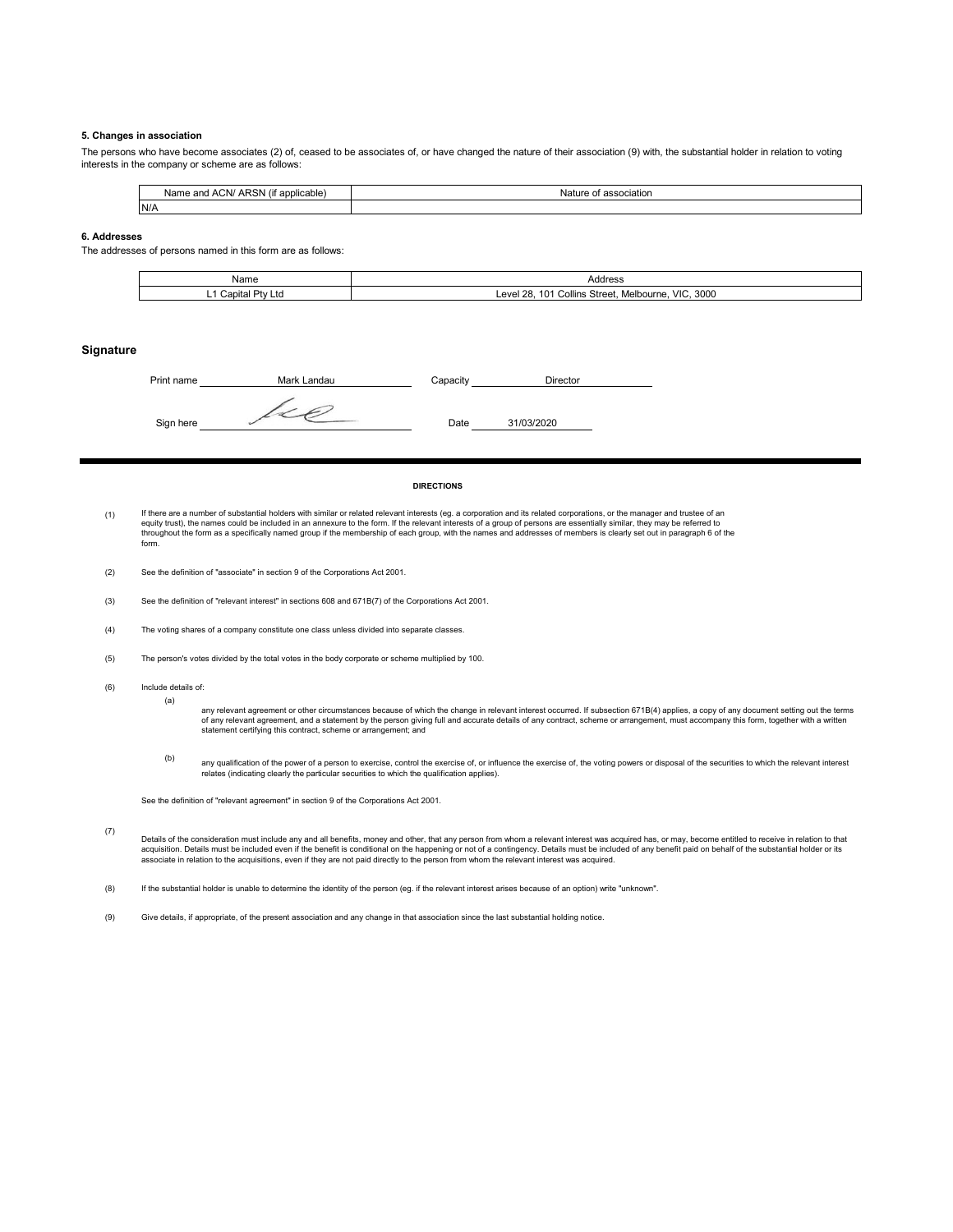#### **5. Changes in association**

The persons who have become associates (2) of, ceased to be associates of, or have changed the nature of their association (9) with, the substantial holder in relation to voting interests in the company or scheme are as follows:

| ACN/<br>Name<br>∵annlicahle<br>and<br>SN.<br>A₩<br>۰.<br>טר<br>. vavic . | Nature<br>association |
|--------------------------------------------------------------------------|-----------------------|
| N/t                                                                      |                       |

#### **6. Addresses**

The addresses of persons named in this form are as follows:

| Name       | Address                                                                 |
|------------|-------------------------------------------------------------------------|
| $'$ onito. | 3000<br>VIC.<br>olline.<br>10'<br>Street<br>∟eve'<br>Melbourne.<br>. אי |

#### **Signature**

| Print name | Mark Landau | Capacity | <b>Director</b> |  |
|------------|-------------|----------|-----------------|--|
| Sign here  |             | Date     | 31/03/2020      |  |

#### **DIRECTIONS**

- $(1)$ If there are a number of substantial holders with similar or related relevant interests (eg. a corporation and its related corporations, or the manager and trustee of ar<br>equity trust), the names could be included in an ann throughout the form as a specifically named group if the membership of each group, with the names and addresses of members is clearly set out in paragraph 6 of the form.
- (2) See the definition of "associate" in section 9 of the Corporations Act 2001.
- (3) See the definition of "relevant interest" in sections 608 and 671B(7) of the Corporations Act 2001.
- (4) The voting shares of a company constitute one class unless divided into separate classes.
- (5) The person's votes divided by the total votes in the body corporate or scheme multiplied by 100.
- (6) Include details of:

 $(a)$ 

- any relevant agreement or other circumstances because of which the change in relevant interest occurred. If subsection 671B(4) applies, a copy of any document setting out the terms<br>of any relevant agreement, and a statemen statement certifying this contract, scheme or arrangement; and
- (b) any qualification of the power of a person to exercise, control the exercise of, or influence the exercise of, the voting powers or disposal of the securities to which the relevant interest<br>relates (indicating clearly the

See the definition of "relevant agreement" in section 9 of the Corporations Act 2001.

- (7)
	- Details of the consideration must include any and all benefits, money and other, that any person from whom a relevant interest was acquired has, or may, become entitled to receive in relation to that<br>acquisition. Details m
- (8) If the substantial holder is unable to determine the identity of the person (eg. if the relevant interest arises because of an option) write "unknown".
- (9) Give details, if appropriate, of the present association and any change in that association since the last substantial holding notice.